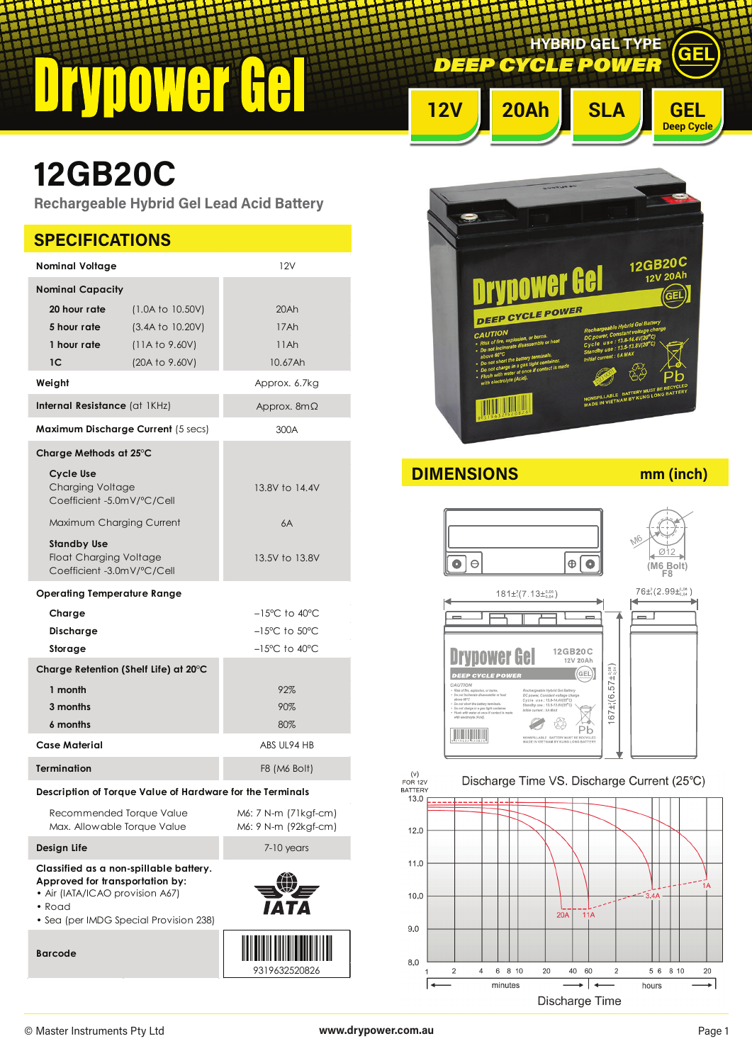## $\frac{1}{\Gamma}$  $\blacksquare$ Ī

*DEEP CYCLE POWE* **HYBRID GEL TYPE**



GEL

# **12GB20C**

**Rechargeable Hybrid Gel Lead Acid Battery**

| 12V<br><b>Nominal Voltage</b><br><b>Nominal Capacity</b><br>20 hour rate<br>(1.0A to 10.50V)<br>20Ah<br>5 hour rate<br>(3.4A to 10.20V)<br>17Ah<br>1 hour rate<br>(11A to 9.60V)<br>11Ah<br>10.67Ah<br>1C<br>(20A to 9.60V)<br>Weight<br>Approx. 6.7kg<br>Internal Resistance (at 1KHz)<br>Approx. $8m\Omega$<br>Maximum Discharge Current (5 secs)<br>300A<br>Charge Methods at $25^{\circ}$ C<br><b>Cycle Use</b><br><b>Charging Voltage</b><br>13.8V to 14.4V<br>Coefficient -5.0mV/°C/Cell<br>Maximum Charging Current<br>6A<br><b>Standby Use</b><br><b>Float Charging Voltage</b><br>13.5V to 13.8V<br>Coefficient -3.0mV/°C/Cell<br><b>Operating Temperature Range</b><br>$-15^{\circ}$ C to 40 $^{\circ}$ C<br>Charge<br>$-15^{\circ}$ C to $50^{\circ}$ C<br>Discharge<br>$-15^{\circ}$ C to $40^{\circ}$ C<br>Storage<br>Charge Retention (Shelf Life) at $20^{\circ}$ C<br>1 month<br>92%<br>3 months<br>90%<br>6 months<br>80%<br>Case Material<br>ABS UL94 HB<br><b>Termination</b><br>F8 (M6 Bolt)<br>Description of Torque Value of Hardware for the Terminals<br>Recommended Torque Value<br>M6: 7 N-m (71kgf-cm)<br>M6: 9 N-m (92kgf-cm)<br>Max. Allowable Torque Value<br>Design Life<br>7-10 years<br>Classified as a non-spillable battery.<br>Approved for transportation by:<br>• Air (IATA/ICAO provision A67)<br>• Road<br>• Sea (per IMDG Special Provision 238)<br><b>Barcode</b><br>9319632520826 | <b>SPECIFICATIONS</b> |  |  |  |  |
|------------------------------------------------------------------------------------------------------------------------------------------------------------------------------------------------------------------------------------------------------------------------------------------------------------------------------------------------------------------------------------------------------------------------------------------------------------------------------------------------------------------------------------------------------------------------------------------------------------------------------------------------------------------------------------------------------------------------------------------------------------------------------------------------------------------------------------------------------------------------------------------------------------------------------------------------------------------------------------------------------------------------------------------------------------------------------------------------------------------------------------------------------------------------------------------------------------------------------------------------------------------------------------------------------------------------------------------------------------------------------------------------------------------------------|-----------------------|--|--|--|--|
|                                                                                                                                                                                                                                                                                                                                                                                                                                                                                                                                                                                                                                                                                                                                                                                                                                                                                                                                                                                                                                                                                                                                                                                                                                                                                                                                                                                                                              |                       |  |  |  |  |
|                                                                                                                                                                                                                                                                                                                                                                                                                                                                                                                                                                                                                                                                                                                                                                                                                                                                                                                                                                                                                                                                                                                                                                                                                                                                                                                                                                                                                              |                       |  |  |  |  |
|                                                                                                                                                                                                                                                                                                                                                                                                                                                                                                                                                                                                                                                                                                                                                                                                                                                                                                                                                                                                                                                                                                                                                                                                                                                                                                                                                                                                                              |                       |  |  |  |  |
|                                                                                                                                                                                                                                                                                                                                                                                                                                                                                                                                                                                                                                                                                                                                                                                                                                                                                                                                                                                                                                                                                                                                                                                                                                                                                                                                                                                                                              |                       |  |  |  |  |
|                                                                                                                                                                                                                                                                                                                                                                                                                                                                                                                                                                                                                                                                                                                                                                                                                                                                                                                                                                                                                                                                                                                                                                                                                                                                                                                                                                                                                              |                       |  |  |  |  |
|                                                                                                                                                                                                                                                                                                                                                                                                                                                                                                                                                                                                                                                                                                                                                                                                                                                                                                                                                                                                                                                                                                                                                                                                                                                                                                                                                                                                                              |                       |  |  |  |  |
|                                                                                                                                                                                                                                                                                                                                                                                                                                                                                                                                                                                                                                                                                                                                                                                                                                                                                                                                                                                                                                                                                                                                                                                                                                                                                                                                                                                                                              |                       |  |  |  |  |
|                                                                                                                                                                                                                                                                                                                                                                                                                                                                                                                                                                                                                                                                                                                                                                                                                                                                                                                                                                                                                                                                                                                                                                                                                                                                                                                                                                                                                              |                       |  |  |  |  |
|                                                                                                                                                                                                                                                                                                                                                                                                                                                                                                                                                                                                                                                                                                                                                                                                                                                                                                                                                                                                                                                                                                                                                                                                                                                                                                                                                                                                                              |                       |  |  |  |  |
|                                                                                                                                                                                                                                                                                                                                                                                                                                                                                                                                                                                                                                                                                                                                                                                                                                                                                                                                                                                                                                                                                                                                                                                                                                                                                                                                                                                                                              |                       |  |  |  |  |
|                                                                                                                                                                                                                                                                                                                                                                                                                                                                                                                                                                                                                                                                                                                                                                                                                                                                                                                                                                                                                                                                                                                                                                                                                                                                                                                                                                                                                              |                       |  |  |  |  |
|                                                                                                                                                                                                                                                                                                                                                                                                                                                                                                                                                                                                                                                                                                                                                                                                                                                                                                                                                                                                                                                                                                                                                                                                                                                                                                                                                                                                                              |                       |  |  |  |  |
|                                                                                                                                                                                                                                                                                                                                                                                                                                                                                                                                                                                                                                                                                                                                                                                                                                                                                                                                                                                                                                                                                                                                                                                                                                                                                                                                                                                                                              |                       |  |  |  |  |
|                                                                                                                                                                                                                                                                                                                                                                                                                                                                                                                                                                                                                                                                                                                                                                                                                                                                                                                                                                                                                                                                                                                                                                                                                                                                                                                                                                                                                              |                       |  |  |  |  |
|                                                                                                                                                                                                                                                                                                                                                                                                                                                                                                                                                                                                                                                                                                                                                                                                                                                                                                                                                                                                                                                                                                                                                                                                                                                                                                                                                                                                                              |                       |  |  |  |  |
|                                                                                                                                                                                                                                                                                                                                                                                                                                                                                                                                                                                                                                                                                                                                                                                                                                                                                                                                                                                                                                                                                                                                                                                                                                                                                                                                                                                                                              |                       |  |  |  |  |
|                                                                                                                                                                                                                                                                                                                                                                                                                                                                                                                                                                                                                                                                                                                                                                                                                                                                                                                                                                                                                                                                                                                                                                                                                                                                                                                                                                                                                              |                       |  |  |  |  |
|                                                                                                                                                                                                                                                                                                                                                                                                                                                                                                                                                                                                                                                                                                                                                                                                                                                                                                                                                                                                                                                                                                                                                                                                                                                                                                                                                                                                                              |                       |  |  |  |  |
|                                                                                                                                                                                                                                                                                                                                                                                                                                                                                                                                                                                                                                                                                                                                                                                                                                                                                                                                                                                                                                                                                                                                                                                                                                                                                                                                                                                                                              |                       |  |  |  |  |
|                                                                                                                                                                                                                                                                                                                                                                                                                                                                                                                                                                                                                                                                                                                                                                                                                                                                                                                                                                                                                                                                                                                                                                                                                                                                                                                                                                                                                              |                       |  |  |  |  |
|                                                                                                                                                                                                                                                                                                                                                                                                                                                                                                                                                                                                                                                                                                                                                                                                                                                                                                                                                                                                                                                                                                                                                                                                                                                                                                                                                                                                                              |                       |  |  |  |  |



**DIMENSIONS mm (inch)**